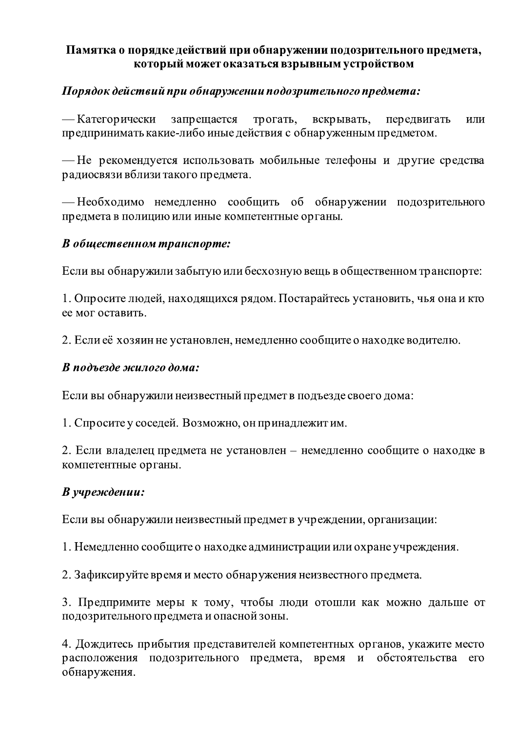### Памятка о порядке действий при обнаружении подозрительного предмета, который может оказаться взрывным устройством

## Порядок действий при обнаружении подозрительного предмета:

— Категорически запрещается трогать, вскрывать, передвигать ИЛИ предпринимать какие-либо иные действия с обнаруженным предметом.

— Не рекомендуется использовать мобильные телефоны и другие средства радиосвязи вблизи такого предмета.

— Необходимо немедленно сообщить об обнаружении подозрительного предмета в полицию или иные компетентные органы.

### В общественном транспорте:

Если вы обнаружили забытую или бесхозную вещь в общественном транспорте:

1. Опросите людей, находящихся рядом. Постарайтесь установить, чья она и кто ее мог оставить.

2. Если её хозяин не установлен, немедленно сообщите о находке водителю.

#### В подъезде жилого дома:

Если вы обнаружили неизвестный предмет в подъезде своего дома:

1. Спросите у соседей. Возможно, он принадлежит им.

2. Если владелец предмета не установлен – немедленно сообщите о находке в компетентные органы.

### В учреждении:

Если вы обнаружили неизвестный предмет в учреждении, организации:

1. Немедленно сообщите о находке администрации или охране учреждения.

2. Зафиксируйте время и место обнаружения неизвестного предмета.

3. Предпримите меры к тому, чтобы люди отошли как можно дальше от подозрительного предмета и опасной зоны.

4. Дождитесь прибытия представителей компетентных органов, укажите место расположения подозрительного предмета, время и обстоятельства его обнаружения.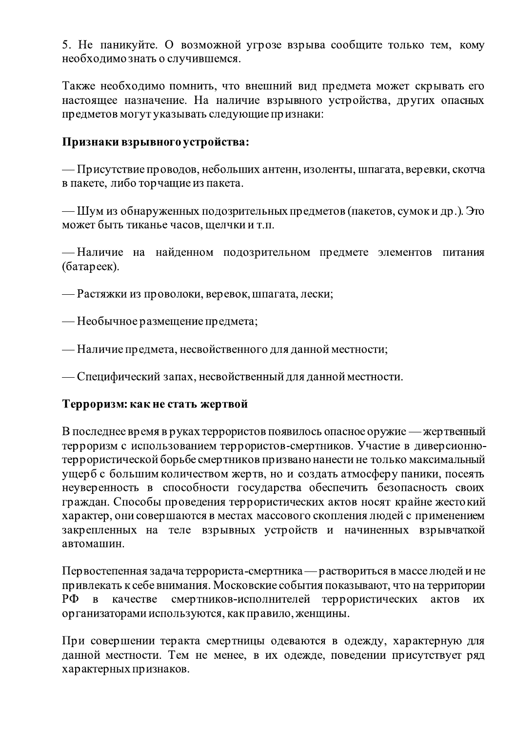5. Не паникуйте. О возможной угрозе взрыва сообщите только тем, кому необходимознать о случившемся.

Также необходимо помнить, что внешний вид предмета может скрывать его настоящее назначение. На наличие взрывного устройства, других опасных предметов могут указывать следующие признаки:

### Признаки взрывного устройства:

— Присутствие проводов, небольших антенн, изоленты, шпагата, веревки, скотча в пакете, либо торчащие из пакета.

— Шум из обнаруженных подозрительных предметов (пакетов, сумок и др.). Это может быть тиканье часов, щелчки и т.п.

— Наличие на найденном подозрительном предмете элементов питания (батареек).

- Растяжки из проволоки, веревок, шпагата, лески;
- Необычное размещение предмета;
- Наличие предмета, несвойственного для данной местности;
- Специфический запах, несвойственный для данной местности.

#### Терроризм: как не стать жертвой

В последнее время в руках террористов появилось опасное оружие — жертвенный терроризм с использованием террористов-смертников. Участие в диверсионнотеррористической борьбе смертников призвано нанести не только максимальный ущерб с большим количеством жертв, но и создать атмосферу паники, посеять неуверенность в способности государства обеспечить безопасность своих граждан. Способы проведения террористических актов носят крайне жестокий характер, они совершаются в местах массового скопления людей с применением закрепленных на теле взрывных устройств и начиненных взрывчаткой автомашин.

Первостепенная задача террориста-смертника — раствориться в массе людей и не привлекать к себе внимания. Московские события показывают, что на территории  $P\Phi$ смертников-исполнителей террористических  $\overline{B}$ качестве актов **HX** организаторами используются, как правило, женщины.

При совершении теракта смертницы одеваются в одежду, характерную для данной местности. Тем не менее, в их одежде, поведении присутствует ряд характерных признаков.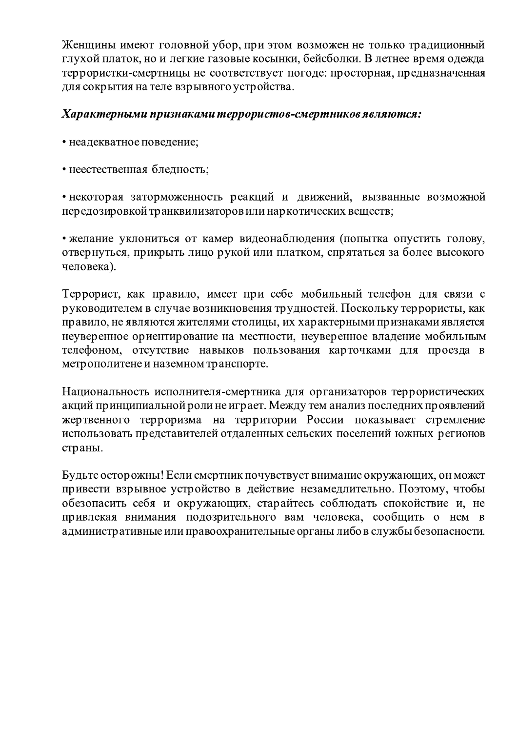Женщины имеют головной убор, при этом возможен не только традиционный глухой платок, но и легкие газовые косынки, бейсболки. В летнее время одежда террористки-смертницы не соответствует погоде: просторная, предназначенная для сокрытия на теле взрывного устройства.

### Характерными признаками террористов-смертников являются:

- неадекватное поведение;
- неестественная бледность;

• некоторая заторможенность реакций и движений, вызванные возможной передозировкой транквилизаторов или наркотических веществ;

• желание уклониться от камер видеонаблюдения (попытка опустить голову, отвернуться, прикрыть лицо рукой или платком, спрятаться за более высокого человека).

Террорист, как правило, имеет при себе мобильный телефон для связи с руководителем в случае возникновения трудностей. Поскольку террористы, как правило, не являются жителями столицы, их характерными признаками является неуверенное ориентирование на местности, неуверенное владение мобильным телефоном, отсутствие навыков пользования карточками для проезда в метрополитене и наземном транспорте.

Национальность исполнителя-смертника для организаторов террористических акций принципиальной роли не играет. Между тем анализ последних проявлений жертвенного терроризма на территории России показывает стремление использовать представителей отдаленных сельских поселений южных регионов страны.

Будьте осторожны! Если смертник почувствует внимание окружающих, он может привести взрывное устройство в действие незамедлительно. Поэтому, чтобы обезопасить себя и окружающих, старайтесь соблюдать спокойствие и, не привлекая внимания подозрительного вам человека, сообщить о нем в административные или правоохранительные органы либо в службы безопасности.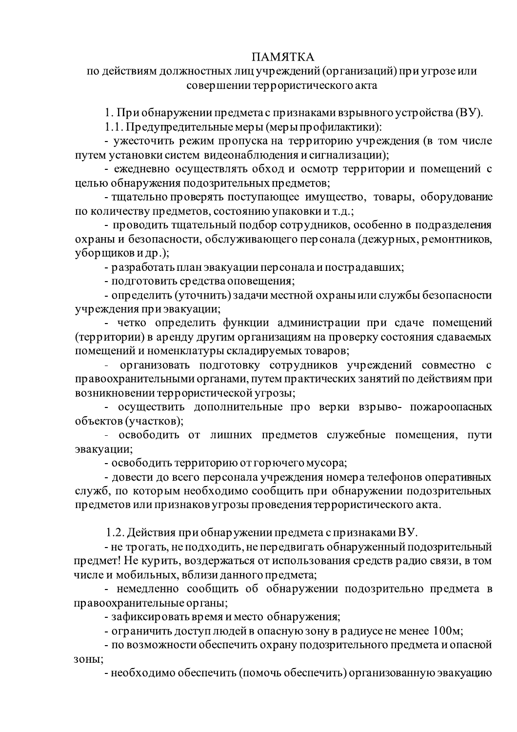# ПАМЯТКА

#### по действиям должностных лиц учреждений (организаций) при угрозе или совершении террористического акта

1. При обнаружении предмета с признаками взрывного устройства (ВУ).

1.1. Предупредительные меры (меры профилактики):

- ужесточить режим пропуска на территорию учреждения (в том числе путем установки систем видеонаблюдения и сигнализации);

- ежедневно осуществлять обход и осмотр территории и помещений с целью обнаружения подозрительных предметов;

- тщательно проверять поступающее имущество, товары, оборудование по количеству предметов, состоянию упаковки и т.д.;

- проводить тщательный подбор сотрудников, особенно в подразделения охраны и безопасности, обслуживающего персонала (дежурных, ремонтников, уборщиков и др.);

- разработать план эвакуации персонала и пострадавших;

- подготовить средства оповещения;

- определить (уточнить) задачи местной охраны или службы безопасности учреждения при эвакуации;

- четко определить функции администрации при сдаче помещений (территории) в аренду другим организациям на проверку состояния сдаваемых помещений и номенклатуры складируемых товаров;

организовать подготовку сотрудников учреждений совместно с правоохранительными органами, путем практических занятий по действиям при возникновении террористической угрозы;

- осуществить дополнительные про верки взрыво- пожароопасных объектов (участков);

- освободить от лишних предметов служебные помещения, пути эвакуации;

- освободить территорию от горючего мусора;

- довести до всего персонала учреждения номера телефонов оперативных служб, по которым необходимо сообщить при обнаружении подозрительных предметов или признаков угрозы проведения террористического акта.

1.2. Действия при обнаружении предмета с признаками ВУ.

- не трогать, не подходить, не передвигать обнаруженный подозрительный предмет! Не курить, воздержаться от использования средств радио связи, в том числе и мобильных, вблизи данного предмета;

- немедленно сообщить об обнаружении подозрительно предмета в правоохранительные органы;

- зафиксировать время и место обнаружения;

- ограничить доступ людей в опасную зону в радиусе не менее 100м;

- по возможности обеспечить охрану подозрительного предмета и опасной зоны;

- необходимо обеспечить (помочь обеспечить) организованную эвакуацию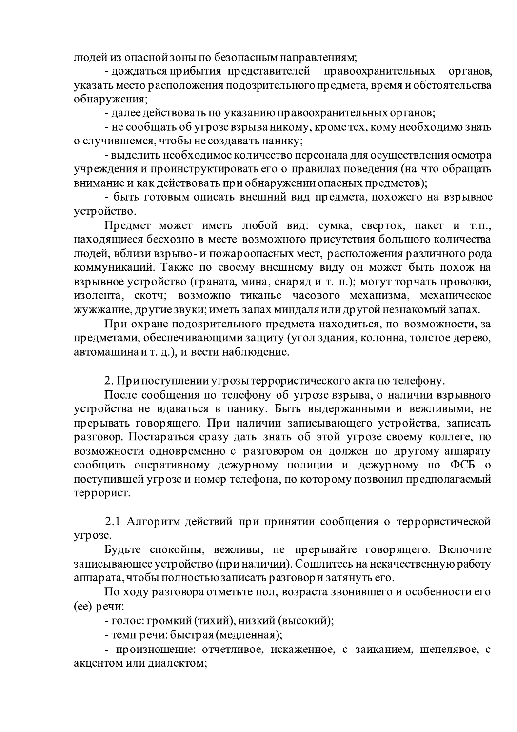людей из опасной зоны по безопасным направлениям;

- дождаться прибытия представителей правоохранительных органов, указать место расположения подозрительного предмета, время и обстоятельства обнаружения;

- далее действовать по указанию правоохранительных органов;

- не сообщать об угрозе взрыва никому, кроме тех, кому необходимо знать о случившемся, чтобы не создавать панику;

- выделить необходимое количество персонала для осуществления осмотра учреждения и проинструктировать его о правилах поведения (на что обращать внимание и как действовать при обнаружении опасных предметов);

- быть готовым описать внешний вид предмета, похожего на взрывное устройство.

Предмет может иметь любой вид: сумка, сверток, пакет и т.п., находящиеся бесхозно в месте возможного присутствия большого количества людей, вблизи взрыво- и пожароопасных мест, расположения различного рода коммуникаций. Также по своему внешнему виду он может быть похож на взрывное устройство (граната, мина, снаряд и т. п.); могут торчать проводки, изолента, скотч; возможно тиканье часового механизма, механическое жужжание, другие звуки; иметь запах миндаля или другой незнакомый запах.

При охране подозрительного предмета находиться, по возможности, за предметами, обеспечивающими защиту (угол здания, колонна, толстое дерево, автомашина и т. д.), и вести наблюдение.

2. При поступлении угрозы террористического акта по телефону.

После сообщения по телефону об угрозе взрыва, о наличии взрывного устройства не вдаваться в панику. Быть выдержанными и вежливыми, не прерывать говорящего. При наличии записывающего устройства, записать разговор. Постараться сразу дать знать об этой угрозе своему коллеге, по возможности одновременно с разговором он должен по другому аппарату сообщить оперативному дежурному полиции и дежурному по ФСБ о поступившей угрозе и номер телефона, по которому позвонил предполагаемый террорист.

2.1 Алгоритм действий при принятии сообщения о террористической угрозе.

Будьте спокойны, вежливы, не прерывайте говорящего. Включите записывающее устройство (при наличии). Сошлитесь на некачественную работу аппарата, чтобы полностью записать разговор и затянуть его.

По ходу разговора отметьте пол, возраста звонившего и особенности его (ее) речи:

- голос: громкий (тихий), низкий (высокий);

- темп речи: быстрая (медленная);

- произношение: отчетливое, искаженное, с заиканием, шепелявое, с акцентом или диалектом;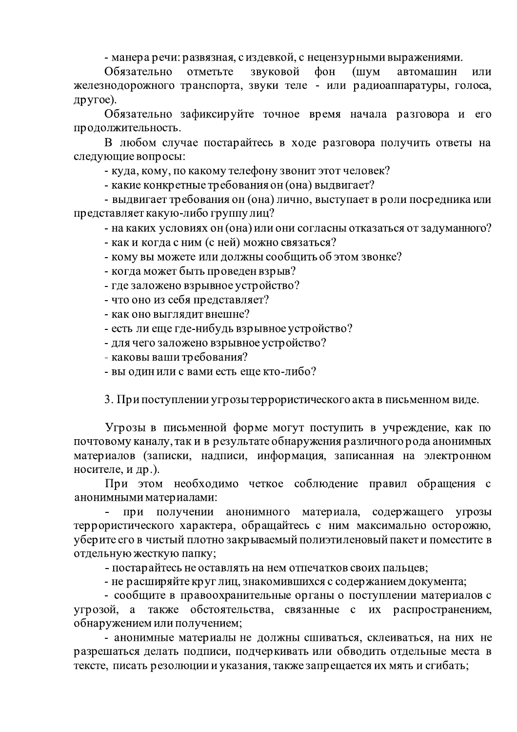- манера речи: развязная, с издевкой, с нецензурными выражениями.

отметьте звуковой Обязательно  $\phi$ OH  $(IIIVM)$ автомашин ИЛИ железнодорожного транспорта, звуки теле - или радиоаппаратуры, голоса, другое).

Обязательно зафиксируйте точное время начала разговора и  $er$ продолжительность.

В любом случае постарайтесь в ходе разговора получить ответы на следующие вопросы:

- куда, кому, по какому телефону звонит этот человек?

- какие конкретные требования он (она) выдвигает?

- выдвигает требования он (она) лично, выступает в роли посредника или представляет какую-либо группу лиц?

- на каких условиях он (она) или они согласны отказаться от задуманного?

- как и когда с ним (с ней) можно связаться?

- кому вы можете или должны сообщить об этом звонке?

- когда может быть проведен взрыв?

- где заложено взрывное устройство?

- что оно из себя представляет?

- как оно выглядит внешне?

- есть ли еще где-нибудь взрывное устройство?

- для чего заложено взрывное устройство?

- каковы ваши требования?

- вы один или с вами есть еще кто-либо?

3. При поступлении угрозы террористического акта в письменном виде.

Угрозы в письменной форме могут поступить в учреждение, как по почтовому каналу, так и в результате обнаружения различного рода анонимных материалов (записки, надписи, информация, записанная на электронном носителе, и др.).

При этом необходимо четкое соблюдение правил обращения с анонимными материалами:

при получении анонимного материала, содержащего **УГРОЗЫ** террористического характера, обращайтесь с ним максимально осторожно, уберите его в чистый плотно закрываемый полиэтиленовый пакет и поместите в отдельную жесткую папку;

- постарайтесь не оставлять на нем отпечатков своих пальцев;

- не расширяйте круг лиц, знакомившихся с содержанием документа;

- сообщите в правоохранительные органы о поступлении материалов с угрозой, a также обстоятельства, связанные с  $\ensuremath{\textit{HX}}$ распространением, обнаружением или получением;

- анонимные материалы не должны сшиваться, склеиваться, на них не разрешаться делать подписи, подчеркивать или обводить отдельные места в тексте, писать резолюции и указания, также запрещается их мять и сгибать;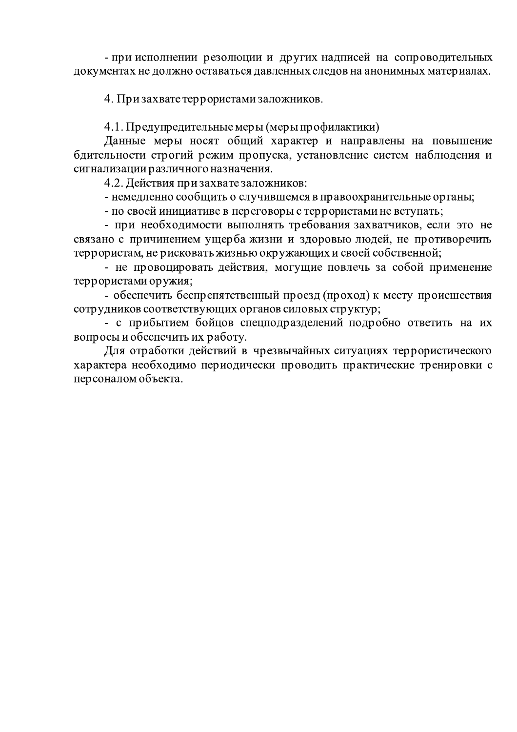- при исполнении резолюции и других надписей на сопроводительных документах не должно оставаться давленных следов на анонимных материалах.

4. Призахвате террористамизаложников.

4.1. Предупредительные меры (меры профилактики)

Данные меры носят общий характер и направлены на повышение бдительности строгий режим пропуска, установление систем наблюдения и сигнализации различного назначения.

4.2. Действия призахвате заложников:

- немедленно сообщить о случившемся в правоохранительные органы;

- по своей инициативе в переговоры с террористами не вступать;

- при необходимости выполнять требования захватчиков, если это не связано с причинением ущерба жизни и здоровью людей, не противоречить террористам, не рисковать жизнью окружающих и своей собственной;

- не провоцировать действия, могущие повлечь за собой применение террористами оружия;

- обеспечить беспрепятственный проезд (проход) к месту происшествия сотрудников соответствующих органов силовых структур;

- с прибытием бойцов спецподразделений подробно ответить на их вопросы и обеспечить их работу.

Для отработки действий в чрезвычайных ситуациях террористического характера необходимо периодически проводить практические тренировки с персоналом объекта.